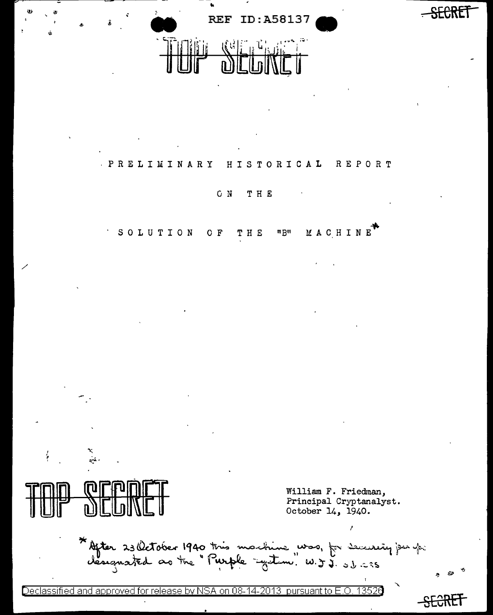

œ

William F. Friedman, Principal Cryptanalyst. October 14, 1940. × \* After 23 October 1940 this machine was, for security jeu p:<br>designated as the "Purple "gutine" W.J.J. 31.235

Declassified and approved for release by NSA on 08-14-2013 pursuant to E.O. 13526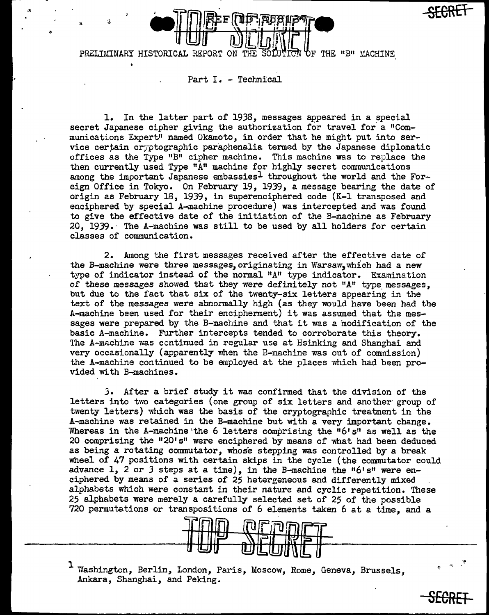

PRELIMINARY HISTORICAL REPORT ON THE SOLUTION OF THE "B" MACHINE

Part I. - Technical

"

1. In the latter part of 1938, messages appeared in a special secret Japanese cipher giving the authorization for travel for a "Communications Expert" named Okamoto, in order that he might put into service certain cr;ptographic paraphenalia termed by the Japanese diplomatic offices as the Type "B" cipher machine. This machine was to replace the then currently used Type "A" machine for highly secret communications among the important Japanese embassies<sup>1</sup> throughout the world and the Foreign Office in Tokyo. On February 19, 1939, a message bearing the date of origin as February 18, 1939, in superenciphered code  $(K-1)$  transposed and enciphered by special A-machine procedure) was intercepted and was found to give the effective date of the initiation of the B-machine as February 20, 1939.· The A-machine was still to be used by all holders for certain classes of communication.

2. Among the first messages received after the effective date of the B-machine were three messages, originating in Warsaw, which had a new type of indicator instead of the normal "A" type indicator. Examination of these messages showed that they were definitely not "A" type messages, but due to the fact that six of the twenty-six letters appearing in the text of the messages were abnormally high (as they would have been had the A-machine been used for their encipherment) it was assumed that the messages were prepared by the B-machine and that it was a modification of the basic A-machine. Further intercepts tended to corroborate this theory. The A-machine was continued in regular use at Hsinking and Shanghai and very occasionally (apparently when the B-machine was out of commission) the A-machine continued to be employed at the places which had been provided with B-machines.

3. After a brief study it was confirmed that the division of the letters into two categories (one group of six letters and another· group of twenty letters) which was the basis of the cryptographic treatment in the A-machine was retained in the B-machine but with a very important change. Whereas in the A-machine the 6 letters comprising the  $"6's"$  as well as the 20 comprising the "20's" were enciphered by means of what had been deduced as being a rotating commutator, whose stepping was controlled by a break wheel of 47 positions with certain skips in the cycle (the commutator could advance 1, 2 or 3 steps at a time), in the B-machine the "6's" were enciphered by means of a series of 25 hetergeneous and differently mixed alphabets which were constant in their nature and cyclic repetition. These 25 alphabets were merely a carefully selected set of 25 of the possible 720 permutations or transpositions of 6 elements taken 6 at a time, and a



1 Washington, Berlin, London, Paris, Moscow, Rome, Geneva, Brussels, Ankara, Shanghai, and Peking.

**SECRET** 

**-SECREf-**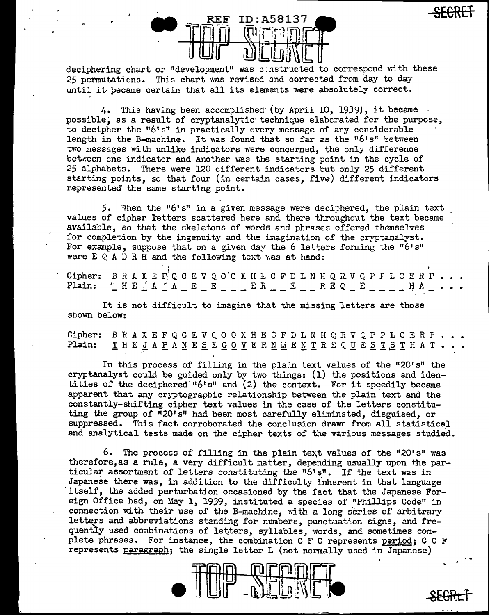

deciphering chart or "development" was constructed to correspond with these 25 permutations. This chart was revised and corrected from day to day until it became certain that all its elements were absolutely correct.

4. This having been accomplished (by April 10, 1939), it became possible, as a result of cryptanalytic technique elaborated for the purpose, to decipher the "6's" in practically every message of any considerable length in the B-machine. It was found that so far as the "6's" between two messages with unlike indicators were concerned, the only difference between one indicator and another was the starting point in the cycle of 25 alphabets. There were 120 different indicaters but only 25 different starting points, so that four (in certain cases, five) different indicators represented the same starting point.

5. When the "6's" in a given message were deciphered, the plain text values of cipher letters scattered here and there throughout the text became available, so that the skeletons of words and phrases offered themselves for completion by the ingenuity and the imagination of the cryptanalyst. For example, suppose that on a given day the 6 letters forming the "6's" were E Q A D R H and the following text was at hand:

Cipher: BRAXEF QCEVQO'OXHLCFDLNHQRVQPPLCERP.  $\begin{array}{l} \begin{array}{l} \begin{array}{l} \begin{array}{l} \end{array} \end{array} & \begin{array}{l} \begin{array}{l} \end{array} & \begin{array}{l} \end{array} & \begin{array}{l} \end{array} & \begin{array}{l} \end{array} & \begin{array}{l} \end{array} & \begin{array}{l} \end{array} & \begin{array}{l} \end{array} & \begin{array}{l} \end{array} & \begin{array}{l} \end{array} & \begin{array}{l} \end{array} & \begin{array}{l} \end{array} & \begin{array}{l} \end{array} & \begin{array}{l} \end{array} & \begin{array}{$ Plain:

It is not difficult to imagine that the missing letters are those shown below:

Cipher: BRAXEFQCEVCOOXHECFDLNHQRVQPPLCERP. THE JAPANESE GOVERNMENTRE QUESTSTHAT. Plain:

In this process of filling in the plain text values of the "20's" the cryptanalyst could be guided only by two things: (1) the positions and identities of the deciphered "6's" and (2) the context. For it speedily became apparent that any cryptographic relationship between the plain text and the constantly-shifting cipher text values in the case of the letters constituting the group of "20's" had been most carefully eliminated, disguised, or suppressed. This fact corroborated the conclusion drawn from all statistical and analytical tests made on the cipher texts of the various messages studied.

6. The process of filling in the plain text values of the "20's" was therefore, as a rule, a very difficult matter, depending usually upon the particular assortment of letters constituting the "6's". If the text was in Japanese there was, in addition to the difficulty inherent in that language itself, the added perturbation occasioned by the fact that the Japanese Foreign Office had, on May 1, 1939, instituted a species of "Phillips Code" in connection with their use of the B-machine, with a long series of arbitrary letters and abbreviations standing for numbers, punctuation signs, and frequently used combinations of letters, syllables, words, and sometimes complete phrases. For instance, the combination C F C represents period; C C F represents paragraph; the single letter L (not normally used in Japanese)

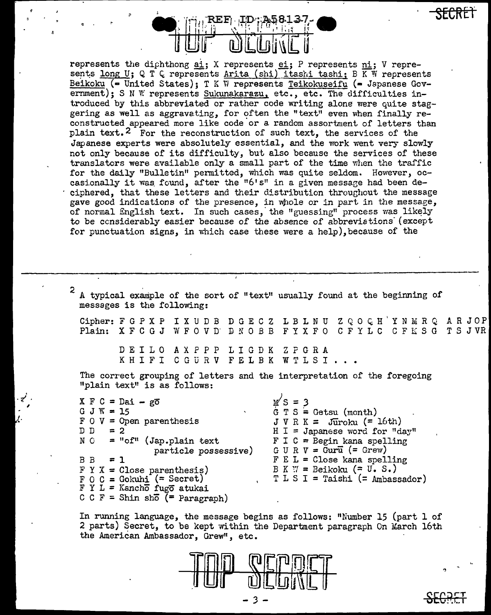

represents the diphthong ai; X represents ei; P represents ni; V represents long U; Q T  $\zeta$  represents Arita (shi) itashi tashi; B KW represents Beikoku (= United States); T K W represents Teikokuseifu (= Japanese Government); S N W represents Sukunakarazu, etc., etc. The difficulties introduced by this abbreviated or rather code writing alone were quite staggering as well as aggravating, for often the "text" even when finally reconstructed appeared more like code or a random assortment of letters than plain text.<sup>2</sup> For the reconstruction of such text, the services of the Japanese experts were absolutely essential, and the work went very slowly not only because of its difficulty, but. also because the services of these translators were available only a small part of the time when the traffic for the daily "Bulletin" permitted, which was quite seldom. However, occasionally it was found, after the " $6! s$ " in a given message had been deciphered, that these letters and their distribution throughout the message gave good indications of the presence, in whole or in part in the message, of normal English text. In such cases, the "guessing" process was likely to be considerably easier because of the absence of abbreviations (except for punctuation signs, in which case these were a help), because of the

A typical example of the sort of "text" usually found at the beginning of messages is the following: Cipher: F G P X P I X U D B D G E C Z L B L N U Z Q O Q H 'Y N M R Q A R J O P  $\vert$ Plain: X F C G J W F 0 V n· D N 0 *B* B F Y X F 0 C F Y L C C F M S G T S J VR DEILO AXPPP LIGDK ZFGRA KHIFI CGURV FELBK WTLSI The correct grouping of letters and the interpretation of the foregoing "plain text" is as follows:  $X F C = Dai - g\overline{o}$ G J W =  $15$ F 0 *V* = Open parenthesis  $D D = 2$  $N$  0 = "cf" (Jap.plain text particle possessive)  $BB = 1$  $F Y X = Close parentheses)$ F O C = Gokuhi (= Secret) F Y L = Kancho fugo atukai  $C C F =$  Shin sho (= Paragraph)  $M S = 3$ <br>G T S = Getsu (month) J V R K *=* JUroku (= 16th)  $H I = Japanese word for "day"$  $F I C = Begin$  kana spelling  $G \cup R \vee = Gur\vec{u} (= Grew)$  $F E L = C$ lose kana spelling B K  $\mathbb{W}$  = Beikoku (= U. S.)  $T L S I = Taishi (= Ambassador)$ 

 $\mathcal{L}^{(1)}_{\mathcal{L}^{(2)}}$ 

In running language, the message begins as follows: "Number 15 (part 1 of 2 parts) Secret, to be kept within the Department paragraph On March 16th the American Ambassador, Grew", etc.

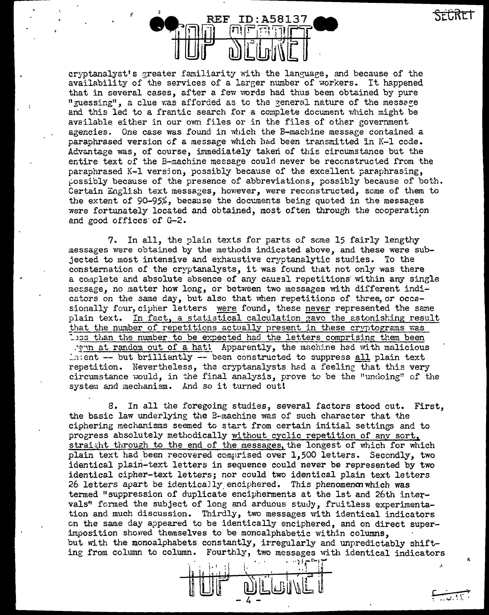SECRET



cryptanalyst's greater familiarity with the language, and because of the availability of the services of a larger number of workers. It happened that in several cases, after a few words had thus been obtained by pure "guessing", a clue was afforded as to the general nature of the message and this led to a frantic search for a complete document which might be available either in our ovm files or in the files of other government agencies. One case was found in which the B-machine message contained a paraphrased version of a messaee which had been transmitted in K-1 code. Advantage was, of course, immediately taken of this circumstance but the entire text of the B-machine message could never be reconstructed from the paraphrased K-1 versjon, possibly because of the excellent paraphrasing,  $_{\rm}$  possibly because of the presence of abbreviations, possibly because of both. Certain English text messages, however, were reconstructed, some of them to the extent of  $90-95%$ , because the documents being quoted in the messages were fortunately located and obtained, most often through the cooperation and good offices of G-2.

7. In all, the plain texts for parts of some 15 fairly lengthy messages were obtained by the methods indicated above, and these were subjected to most intensive and exhaustive cryptanalytic studies. To the consternation of the cryptanalysts, it was found that not only was there a complete and absolute absence of any causal repetitions within any single message, no matter how long, or between two messages with different indicators on the same day, but also that when repetitions of three, or occasionally four, cipher letters were found, these never represented the same plain text. In fact, a statistical calculation gave the astonishing result that the number of repetitions actually present in these cryptograms was Loss than the number to be expected had the letters comprising them been ... a at random out of a hat! Apparently, the machine had with malicious  $\text{L}$ :ent -- but brilliantly -- been constructed to suppress all plain text repetition. Nevertheless, the cryptanalysts had a feeling that this very circumstance would, in the final analysis, prove to be the "undoing" of the system and mechanism. And so it turned out!

8. In all the foregoing studies, several factors stood out. First, the basic law underlying the B-machine was of such character that the ciphering mechanisms seemed to start from certain initial settings and to progress absolutely methodically without cyclic repetition of any sort, straight through to the end of the messages, the longest of which for which plain text had been recovered comprised over 1,500 letters. Secondly, two identical plain-text letters in sequence could never be represented by two identical cipher-text letters; nor could two identical plain text letters 26 letters apart be identicaJly enciphered. This phenomenon which was termed "suppression of duplicate encipherments at the 1st and 26th intervals" formed the subject of long and arduous study, fruitless experimentation and much discussion. Thirdly, two messages with identical indicators on the same day appeared to be identically enciphered, and on direct superimposition shovred themselves to be monoalphabetic within columns, but with the monoalphabets constantly, irregularly and unpredictably shifting from column to column. Fourthly, two messages with identical indicators

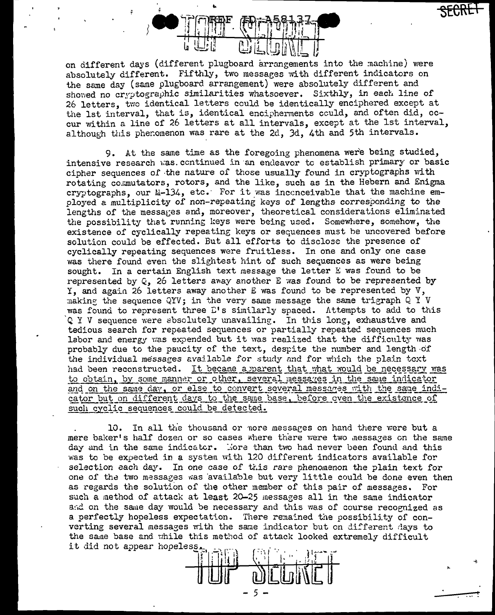

on different days (different plugboard arrangements into the machine) were absolutely different. Fifthly, two messages with different indicators on the same day (same plugboard arrangement) were absolutely different and showed no cryptographic similarities whatsoever. Sixthly, in each line of 26 letters, two identical letters could be identically enciphered except at the 1st interval, that is, identical encipherments could, and often did, occur within a line of 26 letters at all intervals, except at the 1st interval, although this phenomenon was rare at the 2d, 3d, 4th and 5th intervals.

9. At the same time as the foregoing phenomena were being studied, intensive research was continued in an endeavor to establish primary or basic cipher sequences of the nature of those usually found in cryptographs with rotating commutators, rotors, and the like, such as in the Hebern and Enigma cryptographs, our M-134, etc. For it was inconceivable that the machine employed a multiplicity of non-repeating keys of lengths corresponding to the lengths of the messages and, moreover, theoretical considerations eliminated the possibility that running keys were being used. Somewhere, somehow, the existence of cyclically repeating keys or sequences must be uncovered before solution could be effected. But all efforts to disclose the presence of cyclically repeating sequences were fruitless. In one and only one case was there found even the slightest hint of such sequences as were being sought. In a certain English text message the letter E was found to be represented by Q, 26 letters away another E was found to be represented by Y, and again 26 letters away another E was found to be represented by V, making the sequence QYV; in the very same message the same trigraph Q Y V was found to represent three L's similarly spaced. Attempts to add to this Q Y V sequence were absolutely unavailing. In this long, exhaustive and tedious search for repeated sequences or partially repeated sequences much labor and energy was expended but it was realized that the difficulty was probably due to the paucity of the text, despite the number and length of the individual messages available for study and for which the plain text had been reconstructed. It became a parent that what would be necessary was to obtain, by some manner or other, several messages in the same indicator and on the same day, or else to convert several messages with the same indicator but on different days to the same base, before oven the existence of such cyclic sequences could be detected.

10. In all the thousand or nore messages on hand there were but a mere baker's half dozen or so cases where there were two messages on the same day and in the same indicator. More than two had never been found and this was to be expected in a system with 120 different indicators available for selection each day. In one case of this rare phenomenon the plain text for one of the two messages was available but very little could be done even then as regards the solution of the other member of this pair of messages. For such a method of attack at least 20-25 messages all in the same indicator and on the same day would be necessary and this was of course recognized as a perfectly hopeless expectation. There remained the possibility of converting several messages with the same indicator but on different days to the same base and while this method of attack looked extremely difficult it did not appear hopeless.

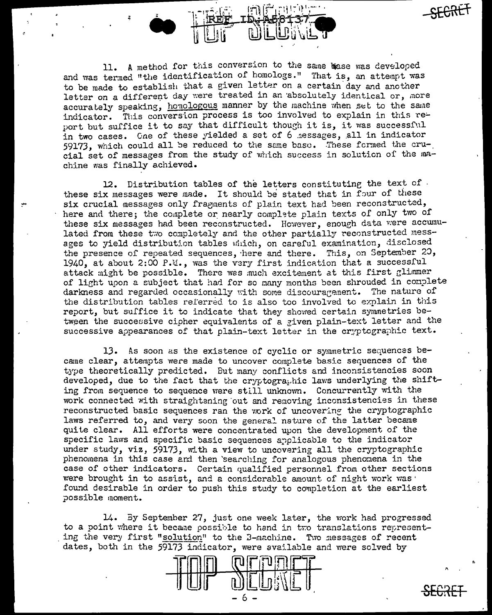11. A method for this conversion to the same base was developed and was termed "the identification of homologs." That is, an attempt was to be made to establish that a given letter on a certain day and another letter on a different day were treated in an absolutely identical or, more accurately speaking, honologous manner by the machine when set to the same indicator. This conversion process is too involved to explain in this report but suffice it to say that difficult though it is, it was successful in two cases. Cne of these yielded a set of 6 nessages, all in indicator 59173, which could all be reduced to the same base. These formed the crucial set of messages from the study of which success in solution of the machine was finally achieved.

12. Distribution tables of the letters constituting the text of these six messages were made. It should be stated that in four of these six crucial messages only fragments of plain text had been reconstructed, here and there; the complete or nearly complete plain texts of only two of these six messages had been reconstructed. However, enough data were accumulated from these two completely and the other partially reconstructed messages to yield distribution tables which, on careful examination, disclosed the presence of repeated sequences, here and there. This, on September 20, 1940, at about 2:00 P.M., was the very first indication that a successful attack might be possible. There was much excitement at this first glimmer of light upon a subject that had for so many months been shrouded in complete darkness and regarded occasionally with some discouragement. The nature of the distribution tables referred to is also too involved to explain in this report, but suffice it to indicate that they showed certain symmetries between the successive cipher equivalents of a given plain-text letter and the successive appearances of that plain-text letter in the cryptographic text.

13. As soon as the existence of cyclic or symmetric sequences became clear, attempts were made to uncover complete basic sequences of the type theoretically predicted. But many conflicts and inconsistencies soon developed, due to the fact that the cryptographic laws underlying the shifting from sequence to sequence were still unknown. Concurrently with the work connected with straightening out and removing inconsistencies in these reconstructed basic sequences ran the work of uncovering the cryptographic laws referred to, and very soon the general nature of the latter became quite clear. All efforts were concentrated upon the development of the specific laws and specific basic sequences applicable to the indicator under study, viz, 59173, with a view to uncovering all the cryptographic phenomena in this case and then searching for analogous phenomena in the case of other indicators. Certain qualified personnel from other sections were brought in to assist, and a considerable amount of night work was ' found desirable in order to push this study to completion at the earliest possible moment.

14. By September 27, just one week later, the work had progressed to a point where it became possible to hand in two translations representing the very first "solution" to the B-machine. Two messages of recent dates, both in the 59173 indicator, were available and were solved by



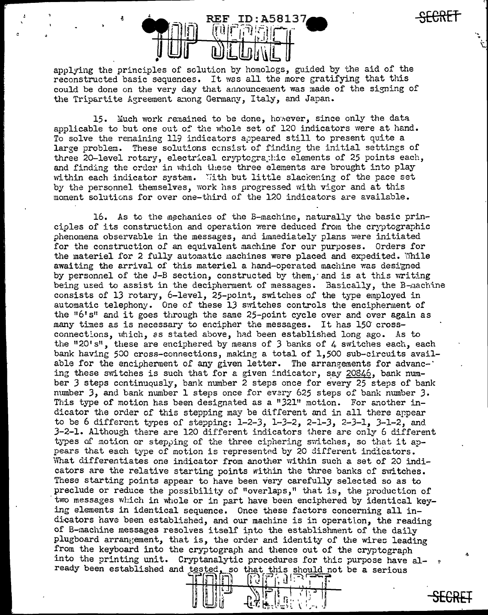

applying the principles of solution by homologs, guided by the aid of the reconstructed basic sequences. It was all the more gratifying that this could be done on the very day that announcement was made of the signing of the Tripartite Agreement among Germany, Italy, and Japan.

15. Much work remained to be done, however, since only the data applicable to but one out of the whole set of 120 indicators were at hand. To solve the remaining 119 indicators appeared still to present quite a large problem. These solutions consist of finding the initial settings of three 20-level rotary, electrical cryptographic elements of 25 points each, and finding the crder in which these three elements are brought into play within each indicator system. With but little slackening of the pace set by the personnel themselves, work has progressed with vigor and at this moment solutions for over one-third of the 120 indicators are available.

16. As to the mechanics of the B-machine, naturally the basic princioles of its construction and operation were deduced from the cryptographic phenomena observable in the messages, and immediately plans were initiated for the construction of an equivalent machine for our purposes. Orders for the materiel for 2 fully automatic machines were placed and expedited. While awaiting the arrival of this materiel a hand-operated machine was designed by personnel of the J-B section, constructed by them, and is at this writing being used to assist in the decipherment of messages. Basically, the B-machine consists of 13 rotary, 6-level, 25-point, switches of the type employed in automatic telephony. One of these 13 switches controls the encipherment of the "6's" and it goes through the same 25-point cycle over and over again as many times as is necessary to encipher the messages. It has 150 crossconnections, which, as stated above, had been established long ago. As to the "20's", these are enciphered by means of 3 banks of 4 switches each, each bank having 500 cross-connections, making a total of 1,500 sub-circuits available for the encipherment of any given letter. The arrangements for advancing these switches is such that for a given indicator, say 20846, bank number 3 steps continuously, bank number 2 steps once for every 25 steps of bank number 3, and bank number 1 steps once for every 625 steps of bank number 3. This type of motion has been designated as a "321" motion. For another indicator the order of this stepping may be different and in all there appear to be 6 different types of stepping: 1-2-3, 1-3-2, 2-1-3, 2-3-1, 3-1-2, and  $3-2-1$ . Although there are 120 different indicators there are only 6 different types of motion or stepping of the three ciphering switches, so that it appears that each type of motion is represented by 20 different indicators. What differentiates one indicator from another within such a set of 20 indicators are the relative starting points within the three banks of switches. These starting points appear to have been very carefully selected so as to preclude or reduce the possibility of "overlaps," that is, the production of two messages which in whole or in part have been enciphered by identical keying elements in identical sequence. Once these factors concerning all indicators have been established, and our machine is in operation, the reading of B-machine messages resolves itself into the establishment of the daily plugboard arrangement, that is, the order and identity of the wires leading from the keyboard into the cryptograph and thence out of the cryptograph into the printing unit. Cryptanalytic procedures for this purpose have already been established and tested, so that this should not be a serious<br>  $\prod_{i=1}^{n}$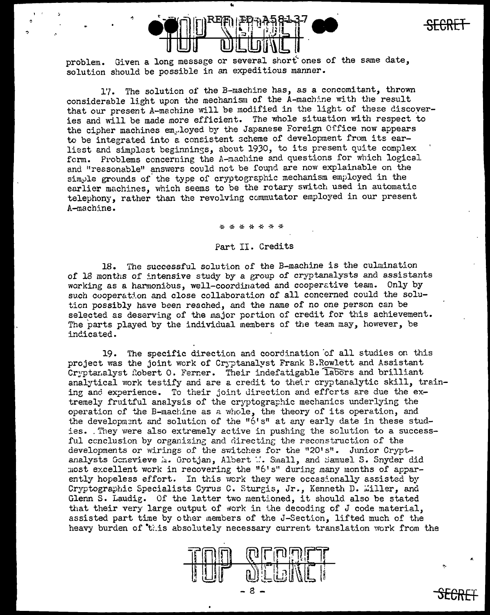

**SECRET** 

..

! '

problem. Given a long message or several short ones of the same date, solution should be possible in an expeditious manner.

1'7. The solution of the B-machine has, as a concomitant, thrown considerable light upon the mechanism of the A-machine with the result that our present A-machine will be modified in the light of these discoveries and will be made more efficient. The whole situation with respect to the cipher machines em.loyed by the Japanese Foreign Office now appears to be integrated into a consistent scheme of development from its earliest and simplest beginnings, about 1930, to its present quite complex form. Problems concerning the A-machine and questions for which logical and "reasonable" answers could not be found are now explainable on the simple grounds of the type of cryptographic mechanism employed in the earlier machines, which seems to be the rotary switch used in automatic telephony, rather than the revolving commutator employed in our present A-machine.

\* \* \* \* \* \*

## Part. II. Credits

18. The successful solution of the B-machine is the culmination of 18 months of intensive study by a group of cryptanalysts and assistants working as a harmonious, well-coordinated and cooperative team. Only by such cooperation and close collaboration of all concerned could the solution possibly have been reached, and the name of no one person can be selected as deserving of the major portion of credit for this achievement. The parts played by the individual members of the team may, however, be indicated.

19. The specific direction and coordination of all studies on this project was the joint work of Cryptanalyst Frank B.Rowlett and Assistant Cryptanalyst Robert O. Ferner. Their indefatigable labors and brilliant analytical work testify and are a credit to their cryptanalytic skill, training and experience. To their joint direction and efforts are due the extremely fruitful analysis of the cryptographic mechanics underlying the operation of the B-machine as a whole, the theory of its operation, and the development and solution of the "6's" at any early date in these studies. They were also extremely active in pushing the solution to a successful conclusion by organizing and directing the reconstruction of the developments or wirings of the switches for the "20's". Junior Cryptanalysts Gcnevieve *a.* Grotjan, Albert W. Small, and Samuel S. Snyder did most excellent work in recovering the "6's" during many months of apparently hopeless effort. In this work they were occasionally assisted by Cryptographic Specialists Cyrus C. Sturgis, Jr., Kenneth D. Willer, and Glenn S. Laudig. Of the latter two mentioned, it should also be stated that their very large output of work in the decoding of  $J$  code material, assisted part time by other members of the J-Section, lifted much of the heavy burden of this absolutely necessary current translation work from the

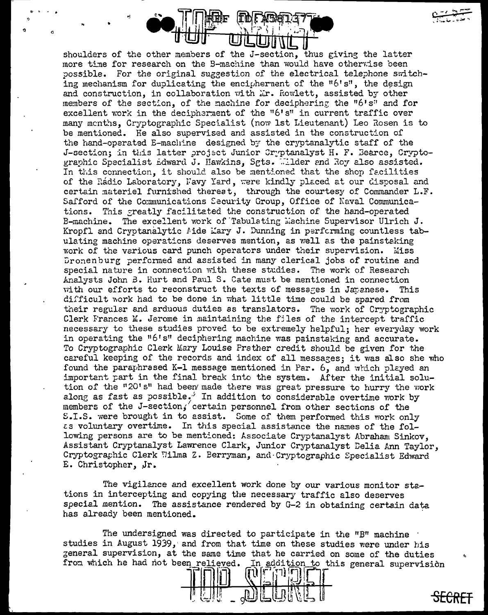

shoulders of the other members of the J-section, thus giving the latter more time for research on the B-machine than would have otherwise been possible. For the original suggestion of the electrical telephone switching mechanism for duplicating the encipherment of the "6's", the design and construction, in collaboration with Mr. Rowlett, assisted by other members of the section, of the machine for deciphering the "6's" and for excellent work in the decipherment of the "6's" in current traffic over many menths, Cryptographic Specialist (now 1st Lieutenant) Leo Rosen is to be mentioned. He also supervised and assisted in the construction of the hand-operated E-machine designed by the cryptanalytic staff of the J-section; in this latter project Junior Cryptanalyst H. F. Bearce, Cryptographic Specialist Edward J. Hawkins, Sgts. Wilder and Roy also assisted. In this connection, it should also be mentioned that the shop facilities of the Rádio Laboratory, Navy Yard, were kindly placed at our disposal and certain materiel furnished therest, through the courtesy of Commander L.F. Safford of the Communications Security Group, Office of Naval Communications. This greatly facilitated the construction of the hand-operated B-machine. The excellent work of Tabulating Machine Supervisor Ulrich J. Kropfl and Cryptanalytic Aide Mary J. Dunning in performing countless tabulating machine operations deserves mention, as well as the painstaking work of the various card punch operators under their supervision. Miss Dronenburg performed and assisted in many clerical jobs of routine and special nature in connection with these studies. The work of Research Analysts John B. Hurt and Paul S. Cate must be mentioned in connection with our efforts to reconstruct the texts of messages in Japanese. This difficult work had to be done in what little time could be spared from their regular and arduous duties as translators. The work of Cryptographic Clerk Frances M. Jerome in maintaining the files of the intercept traffic necessary to these studies proved to be extremely helpful; her everyday work in operating the "6's" deciphering machine was painstaking and accurate. To Cryptographic Clerk Mary Louise Prather credit should be given for the careful keeping of the records and index of all messages; it was also she who found the paraphrased K-1 message mentioned in Par. 6, and which played an important part in the final break into the system. After the initial solution of the "20's" had been made there was great pressure to hurry the work along as fast as possible. In addition to considerable overtime work by members of the J-section, certain personnel from other sections of the S.I.S. were brought in to assist. Some of them performed this work only as voluntary overtime. In this special assistance the names of the following persons are to be mentioned: Associate Cryptanalyst Abraham Sinkov, Assistant Cryptanalyst Lawrence Clark, Junior Cryptanalyst Delia Ann Taylor, Cryptographic Clerk Wilma Z. Berryman, and Cryptographic Specialist Edward E. Christopher, Jr.

The vigilance and excellent work done by our various monitor stations in intercepting and copying the necessary traffic also deserves special mention. The assistance rendered by G-2 in obtaining certain data has already been mentioned.

The undersigned was directed to participate in the "B" machine ' studies in August 1939, and from that time on these studies were under his general supervision, at the same time that he carried on some of the duties from which he had not been relieved. In addition to this general supervision  $\Pi^n$  $\Pi$  $\Pi$  $\Pi$  $\Pi$  $\Pi$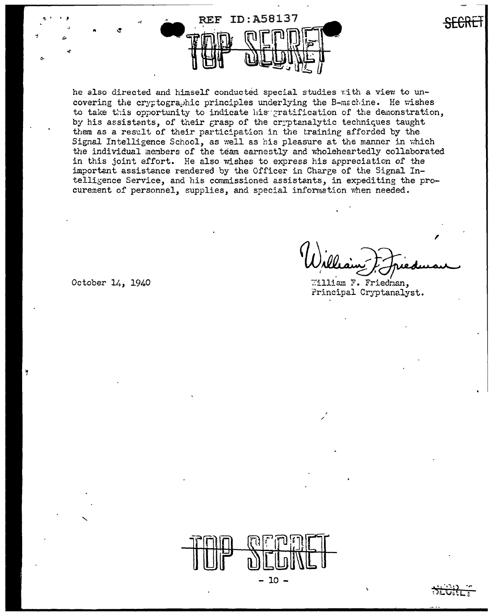

he also directed and himself conducted special studies with a view to uncovering the cryptographic principles underlying the B-machine. He wishes to take this opportunity to indicate his pratification of the demonstration, by his assistants, of their grasp of the cryptanalytic techniques taught them as a result of their participation in the training afforded by the Signal Intelligence School, as well as his pleasure at the manner in which the individual members of the team earnestly and wholeheartedly collaborated in this joint effort. He also wishes to express his appreciation of the important assistance rendered by the Officer in Charge of the Signal Intelligence Service, and his commissioned assistants, in expediting the procurement of personnel, supplies, and special information when needed.

William F. Friedman, Principal Cryptanalyst.

October 14, 1940

Y